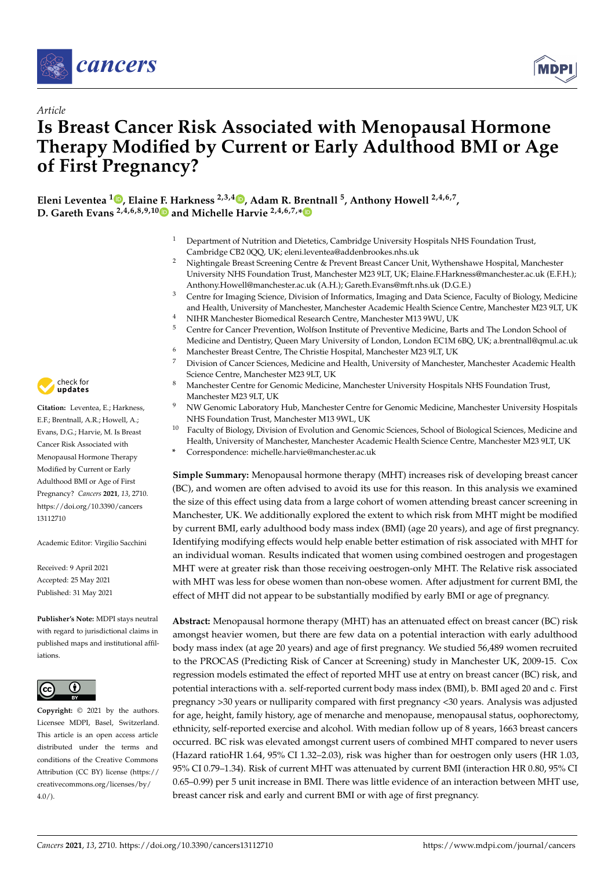

*Article*



# **Is Breast Cancer Risk Associated with Menopausal Hormone Therapy Modified by Current or Early Adulthood BMI or Age of First Pregnancy?**

**Eleni Leventea <sup>1</sup> [,](https://orcid.org/0000-0002-7213-1048) Elaine F. Harkness 2,3,4 [,](https://orcid.org/0000-0001-6625-7739) Adam R. Brentnall <sup>5</sup> , Anthony Howell 2,4,6,7 , D. Gareth Evans 2,4,6,8,9,1[0](https://orcid.org/0000-0002-8482-5784) and Michelle Harvie 2,4,6,7,[\\*](https://orcid.org/0000-0001-9761-3089)**

- <sup>1</sup> Department of Nutrition and Dietetics, Cambridge University Hospitals NHS Foundation Trust, Cambridge CB2 0QQ, UK; eleni.leventea@addenbrookes.nhs.uk
- <sup>2</sup> Nightingale Breast Screening Centre & Prevent Breast Cancer Unit, Wythenshawe Hospital, Manchester University NHS Foundation Trust, Manchester M23 9LT, UK; Elaine.F.Harkness@manchester.ac.uk (E.F.H.); Anthony.Howell@manchester.ac.uk (A.H.); Gareth.Evans@mft.nhs.uk (D.G.E.)
- <sup>3</sup> Centre for Imaging Science, Division of Informatics, Imaging and Data Science, Faculty of Biology, Medicine and Health, University of Manchester, Manchester Academic Health Science Centre, Manchester M23 9LT, UK
- <sup>4</sup> NIHR Manchester Biomedical Research Centre, Manchester M13 9WU, UK<br><sup>5</sup> Centre for Cancer Prevention, Welfson Institute of Preventive Medicine, Pe
- <sup>5</sup> Centre for Cancer Prevention, Wolfson Institute of Preventive Medicine, Barts and The London School of Medicine and Dentistry, Queen Mary University of London, London EC1M 6BQ, UK; a.brentnall@qmul.ac.uk
- <sup>6</sup> Manchester Breast Centre, The Christie Hospital, Manchester M23 9LT, UK
- <sup>7</sup> Division of Cancer Sciences, Medicine and Health, University of Manchester, Manchester Academic Health Science Centre, Manchester M23 9LT, UK
- 8 Manchester Centre for Genomic Medicine, Manchester University Hospitals NHS Foundation Trust, Manchester M23 9LT, UK
- <sup>9</sup> NW Genomic Laboratory Hub, Manchester Centre for Genomic Medicine, Manchester University Hospitals NHS Foundation Trust, Manchester M13 9WL, UK
- <sup>10</sup> Faculty of Biology, Division of Evolution and Genomic Sciences, School of Biological Sciences, Medicine and Health, University of Manchester, Manchester Academic Health Science Centre, Manchester M23 9LT, UK
- **\*** Correspondence: michelle.harvie@manchester.ac.uk

**Simple Summary:** Menopausal hormone therapy (MHT) increases risk of developing breast cancer (BC), and women are often advised to avoid its use for this reason. In this analysis we examined the size of this effect using data from a large cohort of women attending breast cancer screening in Manchester, UK. We additionally explored the extent to which risk from MHT might be modified by current BMI, early adulthood body mass index (BMI) (age 20 years), and age of first pregnancy. Identifying modifying effects would help enable better estimation of risk associated with MHT for an individual woman. Results indicated that women using combined oestrogen and progestagen MHT were at greater risk than those receiving oestrogen-only MHT. The Relative risk associated with MHT was less for obese women than non-obese women. After adjustment for current BMI, the effect of MHT did not appear to be substantially modified by early BMI or age of pregnancy.

**Abstract:** Menopausal hormone therapy (MHT) has an attenuated effect on breast cancer (BC) risk amongst heavier women, but there are few data on a potential interaction with early adulthood body mass index (at age 20 years) and age of first pregnancy. We studied 56,489 women recruited to the PROCAS (Predicting Risk of Cancer at Screening) study in Manchester UK, 2009-15. Cox regression models estimated the effect of reported MHT use at entry on breast cancer (BC) risk, and potential interactions with a. self-reported current body mass index (BMI), b. BMI aged 20 and c. First pregnancy >30 years or nulliparity compared with first pregnancy <30 years. Analysis was adjusted for age, height, family history, age of menarche and menopause, menopausal status, oophorectomy, ethnicity, self-reported exercise and alcohol. With median follow up of 8 years, 1663 breast cancers occurred. BC risk was elevated amongst current users of combined MHT compared to never users (Hazard ratioHR 1.64, 95% CI 1.32–2.03), risk was higher than for oestrogen only users (HR 1.03, 95% CI 0.79–1.34). Risk of current MHT was attenuated by current BMI (interaction HR 0.80, 95% CI 0.65–0.99) per 5 unit increase in BMI. There was little evidence of an interaction between MHT use, breast cancer risk and early and current BMI or with age of first pregnancy.



Citation: Leventea, E.; Harkness, E.F.; Brentnall, A.R.; Howell, A.; Evans, D.G.; Harvie, M. Is Breast Cancer Risk Associated with Menopausal Hormone Therapy Modified by Current or Early Adulthood BMI or Age of First Pregnancy? *Cancers* **2021**, *13*, 2710. [https://doi.org/10.3390/cancers](https://doi.org/10.3390/cancers13112710) [13112710](https://doi.org/10.3390/cancers13112710)

Academic Editor: Virgilio Sacchini

Received: 9 April 2021 Accepted: 25 May 2021 Published: 31 May 2021

**Publisher's Note:** MDPI stays neutral with regard to jurisdictional claims in published maps and institutional affiliations.



**Copyright:** © 2021 by the authors. Licensee MDPI, Basel, Switzerland. This article is an open access article distributed under the terms and conditions of the Creative Commons Attribution (CC BY) license (https:/[/](https://creativecommons.org/licenses/by/4.0/) [creativecommons.org/licenses/by/](https://creativecommons.org/licenses/by/4.0/)  $4.0/$ ).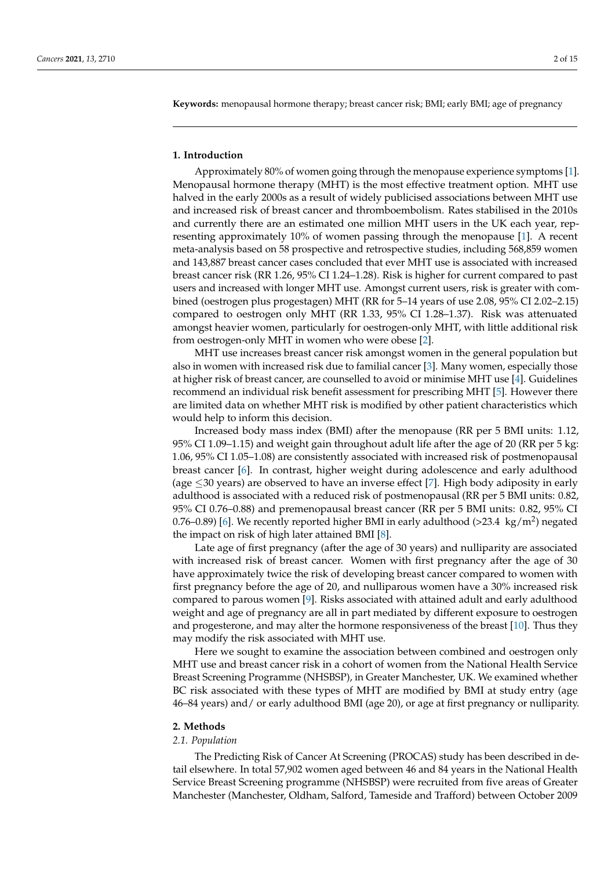**Keywords:** menopausal hormone therapy; breast cancer risk; BMI; early BMI; age of pregnancy

#### **1. Introduction**

Approximately 80% of women going through the menopause experience symptoms [\[1\]](#page-13-0). Menopausal hormone therapy (MHT) is the most effective treatment option. MHT use halved in the early 2000s as a result of widely publicised associations between MHT use and increased risk of breast cancer and thromboembolism. Rates stabilised in the 2010s and currently there are an estimated one million MHT users in the UK each year, representing approximately 10% of women passing through the menopause [\[1\]](#page-13-0). A recent meta-analysis based on 58 prospective and retrospective studies, including 568,859 women and 143,887 breast cancer cases concluded that ever MHT use is associated with increased breast cancer risk (RR 1.26, 95% CI 1.24–1.28). Risk is higher for current compared to past users and increased with longer MHT use. Amongst current users, risk is greater with combined (oestrogen plus progestagen) MHT (RR for 5–14 years of use 2.08, 95% CI 2.02–2.15) compared to oestrogen only MHT (RR 1.33, 95% CI 1.28–1.37). Risk was attenuated amongst heavier women, particularly for oestrogen-only MHT, with little additional risk from oestrogen-only MHT in women who were obese [\[2\]](#page-13-1).

MHT use increases breast cancer risk amongst women in the general population but also in women with increased risk due to familial cancer [\[3\]](#page-13-2). Many women, especially those at higher risk of breast cancer, are counselled to avoid or minimise MHT use [\[4\]](#page-13-3). Guidelines recommend an individual risk benefit assessment for prescribing MHT [\[5\]](#page-13-4). However there are limited data on whether MHT risk is modified by other patient characteristics which would help to inform this decision.

Increased body mass index (BMI) after the menopause (RR per 5 BMI units: 1.12, 95% CI 1.09–1.15) and weight gain throughout adult life after the age of 20 (RR per 5 kg: 1.06, 95% CI 1.05–1.08) are consistently associated with increased risk of postmenopausal breast cancer [\[6\]](#page-13-5). In contrast, higher weight during adolescence and early adulthood (age  $\leq$ 30 years) are observed to have an inverse effect [\[7\]](#page-13-6). High body adiposity in early adulthood is associated with a reduced risk of postmenopausal (RR per 5 BMI units: 0.82, 95% CI 0.76–0.88) and premenopausal breast cancer (RR per 5 BMI units: 0.82, 95% CI 0.76–0.89) [\[6\]](#page-13-5). We recently reported higher BMI in early adulthood (>23.4 kg/m<sup>2</sup>) negated the impact on risk of high later attained BMI [\[8\]](#page-13-7).

Late age of first pregnancy (after the age of 30 years) and nulliparity are associated with increased risk of breast cancer. Women with first pregnancy after the age of 30 have approximately twice the risk of developing breast cancer compared to women with first pregnancy before the age of 20, and nulliparous women have a 30% increased risk compared to parous women [\[9\]](#page-13-8). Risks associated with attained adult and early adulthood weight and age of pregnancy are all in part mediated by different exposure to oestrogen and progesterone, and may alter the hormone responsiveness of the breast [\[10\]](#page-13-9). Thus they may modify the risk associated with MHT use.

Here we sought to examine the association between combined and oestrogen only MHT use and breast cancer risk in a cohort of women from the National Health Service Breast Screening Programme (NHSBSP), in Greater Manchester, UK. We examined whether BC risk associated with these types of MHT are modified by BMI at study entry (age 46–84 years) and/ or early adulthood BMI (age 20), or age at first pregnancy or nulliparity.

#### **2. Methods**

# *2.1. Population*

The Predicting Risk of Cancer At Screening (PROCAS) study has been described in detail elsewhere. In total 57,902 women aged between 46 and 84 years in the National Health Service Breast Screening programme (NHSBSP) were recruited from five areas of Greater Manchester (Manchester, Oldham, Salford, Tameside and Trafford) between October 2009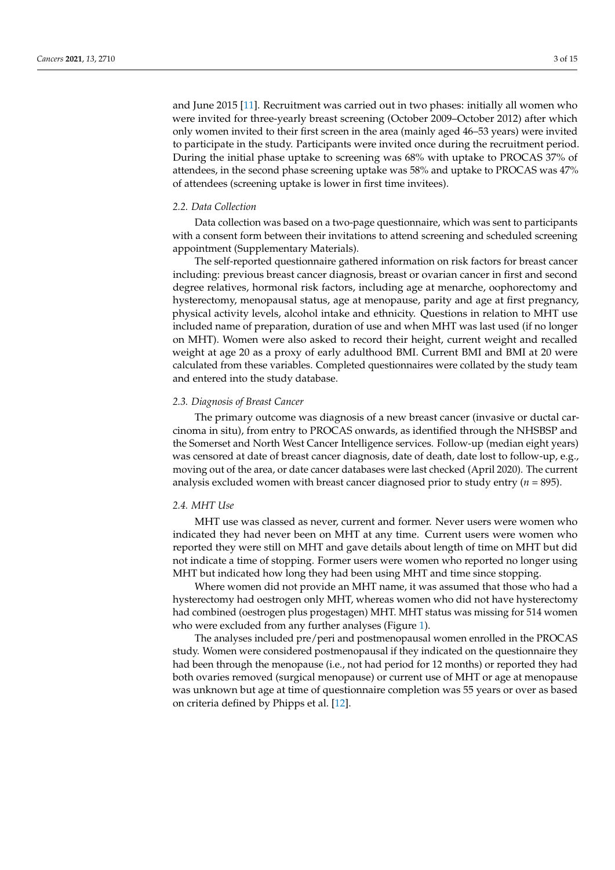and June 2015 [\[11\]](#page-13-10). Recruitment was carried out in two phases: initially all women who were invited for three-yearly breast screening (October 2009–October 2012) after which only women invited to their first screen in the area (mainly aged 46–53 years) were invited to participate in the study. Participants were invited once during the recruitment period. During the initial phase uptake to screening was 68% with uptake to PROCAS 37% of attendees, in the second phase screening uptake was 58% and uptake to PROCAS was 47% of attendees (screening uptake is lower in first time invitees).

#### *2.2. Data Collection*

Data collection was based on a two-page questionnaire, which was sent to participants with a consent form between their invitations to attend screening and scheduled screening appointment (Supplementary Materials).

The self-reported questionnaire gathered information on risk factors for breast cancer including: previous breast cancer diagnosis, breast or ovarian cancer in first and second degree relatives, hormonal risk factors, including age at menarche, oophorectomy and hysterectomy, menopausal status, age at menopause, parity and age at first pregnancy, physical activity levels, alcohol intake and ethnicity. Questions in relation to MHT use included name of preparation, duration of use and when MHT was last used (if no longer on MHT). Women were also asked to record their height, current weight and recalled weight at age 20 as a proxy of early adulthood BMI. Current BMI and BMI at 20 were calculated from these variables. Completed questionnaires were collated by the study team and entered into the study database.

#### *2.3. Diagnosis of Breast Cancer*

The primary outcome was diagnosis of a new breast cancer (invasive or ductal carcinoma in situ), from entry to PROCAS onwards, as identified through the NHSBSP and the Somerset and North West Cancer Intelligence services. Follow-up (median eight years) was censored at date of breast cancer diagnosis, date of death, date lost to follow-up, e.g., moving out of the area, or date cancer databases were last checked (April 2020). The current analysis excluded women with breast cancer diagnosed prior to study entry  $(n = 895)$ .

# *2.4. MHT Use*

MHT use was classed as never, current and former. Never users were women who indicated they had never been on MHT at any time. Current users were women who reported they were still on MHT and gave details about length of time on MHT but did not indicate a time of stopping. Former users were women who reported no longer using MHT but indicated how long they had been using MHT and time since stopping.

Where women did not provide an MHT name, it was assumed that those who had a hysterectomy had oestrogen only MHT, whereas women who did not have hysterectomy had combined (oestrogen plus progestagen) MHT. MHT status was missing for 514 women who were excluded from any further analyses (Figure [1\)](#page-3-0).

The analyses included pre/peri and postmenopausal women enrolled in the PROCAS study. Women were considered postmenopausal if they indicated on the questionnaire they had been through the menopause (i.e., not had period for 12 months) or reported they had both ovaries removed (surgical menopause) or current use of MHT or age at menopause was unknown but age at time of questionnaire completion was 55 years or over as based on criteria defined by Phipps et al. [\[12\]](#page-13-11).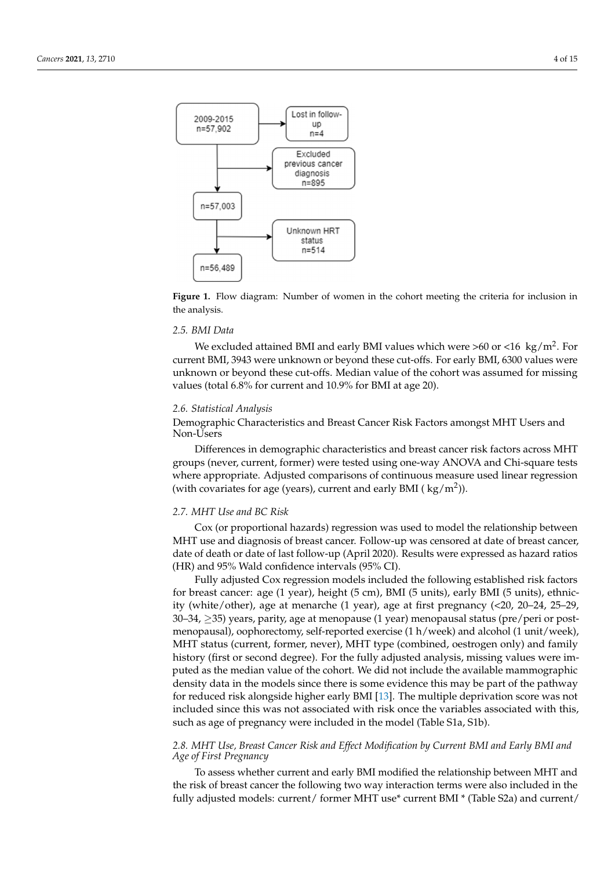<span id="page-3-0"></span>

Figure 1. Flow diagram: Number of women in the cohort meeting the criteria for inclusion in the analysis.

#### *4.5. BMI Data 2.5. BMI Data*

We excluded attained BMI and early BMI values which were >60 or <16 kg/m2. For current BMI, 3943 were unknown or beyond these cut-offs. For early BMI, 6300 values were early BMI, 3943 were underwised by Statutes cat offs. The early BMI, 6300 values were<br>unknown or beyond these cut-offs. Median value of the cohort was assumed for missing we under  $\frac{1}{2}$  and  $\frac{1}{2}$  and  $\frac{1}{2}$  and  $\frac{1}{2}$  and  $\frac{1}{2}$  and  $\frac{1}{2}$  and  $\frac{1}{2}$  and  $\frac{1}{2}$  and  $\frac{1}{2}$  and  $\frac{1}{2}$  and  $\frac{1}{2}$  and  $\frac{1}{2}$  and  $\frac{1}{2}$  and  $\frac{1}{2}$  and  $\frac{1}{2}$  and  $\$ missing values (total 6.8% for current and 10.9% for BMI at age 20). values (total 6.8% for current and 10.9% for BMI at age 20). We excluded attained BMI and early BMI values which were >60 or <16  $\text{ kg/m}^2$ . For

#### *2.6. Statistical Analysis*

Demographic Characteristics and Breast Cancer Risk Factors amongst MHT Users and  $\mathbb{R}$  Demographic characteristics and breast cancer risk factors and non- $\mathbb{R}$  users and non-Non-Users

groups (never, current, former) were tested using one-way ANOVA and Chi-square tests where appropriate. Adjusted comparisons of continuous measure used linear regression (with covariates for age (years), current and early BMI ( $\text{kg/m}^2$ )). Differences in demographic characteristics and breast cancer risk factors across MHT

# 2.7. MHT Use and BC Risk

Cox (or proportional hazards) regression was used to model the relationship between comparison was anti-contracted to model the regression was used to model the relationship between  $\frac{1}{2}$  between  $\frac{1}{2}$  between  $\frac{1}{2}$  between  $\frac{1}{2}$  between  $\frac{1}{2}$  between  $\frac{1}{2}$  between  $\frac{1}{2}$  betwee date of death or date of last follow-up (April 2020). Results were expressed as hazard ratios<br>(UP) and 95% Wald as a Gdanas interred (95% CD MHT use and diagnosis of breast cancer. Follow-up was censored at date of breast cancer, (HR) and 95% Wald confidence intervals (95% CI).

date of death or date of last follow-up (April 2020). Results were expressed as hazard ra-Fully adjusted Cox regression models included the following established risk factors for breast cancer: age (1 year), height (5 cm), BMI (5 units), early BMI (5 units), ethnicity (white/other), age at menarche (1 year), age at first pregnancy  $\langle$  <20, 20–24, 25–29,  $\langle$  $f(x) = 30-34$ ,  $\geq$ 35) years, parity, age at menopause (1 year) menopausal status (pre/peri or postmenopausal), oophorectomy, self-reported exercise  $(1 h/week)$  and alcohol  $(1 unit/week)$ , MHT status (current, former, never), MHT type (combined, oestrogen only) and family history (first or second degree). For the fully adjusted analysis, missing values were imputed as the median value of the cohort. We did not include the available mammographic density data in the models since there is some evidence this may be part of the pathway for reduced risk alongside higher early BMI [\[13\]](#page-13-12). The multiple deprivation score was not included since this was not associated with risk once the variables associated with this, such as age of pregnancy were included in the model (Table S1a, S1b).  $\mathcal{C}$  included since this was not associated with risk once the variables associated with risk once the variables associated with risk on  $\mathcal{C}$ 

# 2.8. MHT Use, Breast Cancer Risk and Effect Modification by Current BMI and Early BMI and *Age of First Pregnancy*

To assess whether current and early BMI modified the relationship between MHT and the risk of breast cancer the following two way interaction terms were also included in the fully adjusted models: current/ former MHT use\* current BMI \* (Table S2a) and current/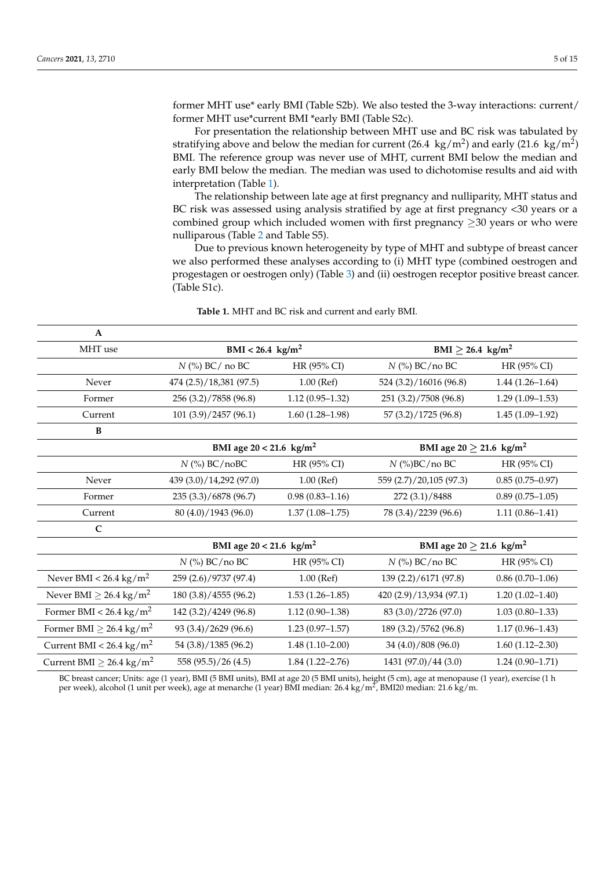former MHT use\* early BMI (Table S2b). We also tested the 3-way interactions: current/ former MHT use\*current BMI \*early BMI (Table S2c).

For presentation the relationship between MHT use and BC risk was tabulated by stratifying above and below the median for current (26.4  $\text{ kg/m}^2$ ) and early (21.6  $\text{ kg/m}^2$ ) BMI. The reference group was never use of MHT, current BMI below the median and early BMI below the median. The median was used to dichotomise results and aid with interpretation (Table [1\)](#page-4-0).

The relationship between late age at first pregnancy and nulliparity, MHT status and BC risk was assessed using analysis stratified by age at first pregnancy <30 years or a combined group which included women with first pregnancy  $>$ 30 years or who were nulliparous (Table [2](#page-5-0) and Table S5).

Due to previous known heterogeneity by type of MHT and subtype of breast cancer we also performed these analyses according to (i) MHT type (combined oestrogen and progestagen or oestrogen only) (Table [3\)](#page-6-0) and (ii) oestrogen receptor positive breast cancer. (Table S1c).

<span id="page-4-0"></span>

| $\mathbf A$                              |                                       |                     |                                         |                     |
|------------------------------------------|---------------------------------------|---------------------|-----------------------------------------|---------------------|
| MHT use                                  | $BMI < 26.4 \text{ kg/m}^2$           |                     | BMI $\geq$ 26.4 kg/m <sup>2</sup>       |                     |
|                                          | $N$ (%) BC/ no BC                     | HR (95% CI)         | $N$ (%) BC/no BC                        | HR (95% CI)         |
| Never                                    | 474 (2.5)/18,381 (97.5)               | $1.00$ (Ref)        | 524 (3.2)/16016 (96.8)                  | $1.44(1.26 - 1.64)$ |
| Former                                   | 256 (3.2)/7858 (96.8)                 | $1.12(0.95 - 1.32)$ | 251 (3.2)/7508 (96.8)                   | $1.29(1.09-1.53)$   |
| Current                                  | 101 (3.9)/2457 (96.1)                 | $1.60(1.28-1.98)$   | 57 (3.2)/1725 (96.8)                    | $1.45(1.09-1.92)$   |
| B                                        |                                       |                     |                                         |                     |
|                                          | BMI age $20 < 21.6$ kg/m <sup>2</sup> |                     | BMI age $20 \ge 21.6$ kg/m <sup>2</sup> |                     |
|                                          | $N$ (%) BC/noBC                       | HR (95% CI)         | $N$ (%)BC/no BC                         | HR (95% CI)         |
| Never                                    | 439 (3.0)/14,292 (97.0)               | $1.00$ (Ref)        | 559 (2.7)/20,105 (97.3)                 | $0.85(0.75-0.97)$   |
| Former                                   | 235 (3.3)/6878 (96.7)                 | $0.98(0.83 - 1.16)$ | 272 (3.1)/8488                          | $0.89(0.75-1.05)$   |
| Current                                  | 80 (4.0)/1943 (96.0)                  | $1.37(1.08 - 1.75)$ | 78 (3.4)/2239 (96.6)                    | $1.11(0.86 - 1.41)$ |
| $\mathbf C$                              |                                       |                     |                                         |                     |
|                                          | BMI age $20 < 21.6$ kg/m <sup>2</sup> |                     | BMI age $20 \ge 21.6$ kg/m <sup>2</sup> |                     |
|                                          | $N$ (%) BC/no BC                      | HR (95% CI)         | $N$ (%) BC/no BC                        | HR (95% CI)         |
| Never BMI < $26.4 \text{ kg/m}^2$        | 259 (2.6)/9737 (97.4)                 | $1.00$ (Ref)        | 139 (2.2)/6171 (97.8)                   | $0.86(0.70-1.06)$   |
| Never BMI $\geq$ 26.4 kg/m <sup>2</sup>  | 180 (3.8)/4555 (96.2)                 | $1.53(1.26-1.85)$   | 420 (2.9)/13,934 (97.1)                 | $1.20(1.02 - 1.40)$ |
| Former BMI < $26.4 \text{ kg/m}^2$       | 142 (3.2)/4249 (96.8)                 | $1.12(0.90-1.38)$   | 83 (3.0)/2726 (97.0)                    | $1.03(0.80-1.33)$   |
| Former BMI $\geq$ 26.4 kg/m <sup>2</sup> | 93 (3.4)/2629 (96.6)                  | $1.23(0.97-1.57)$   | 189 (3.2)/5762 (96.8)                   | $1.17(0.96 - 1.43)$ |
| Current BMI < $26.4 \text{ kg/m}^2$      | 54 (3.8)/1385 (96.2)                  | $1.48(1.10-2.00)$   | 34 (4.0)/808 (96.0)                     | $1.60(1.12 - 2.30)$ |
| Current BMI $\geq 26.4 \text{ kg/m}^2$   | 558 (95.5)/26 (4.5)                   | $1.84(1.22 - 2.76)$ | 1431 (97.0)/44 (3.0)                    | $1.24(0.90 - 1.71)$ |

**Table 1.** MHT and BC risk and current and early BMI.

BC breast cancer; Units: age (1 year), BMI (5 BMI units), BMI at age 20 (5 BMI units), height (5 cm), age at menopause (1 year), exercise (1 h per week), alcohol (1 unit per week), age at menarche (1 year) BMI median: 26.4 kg/m², BMI20 median: 21.6 kg/m.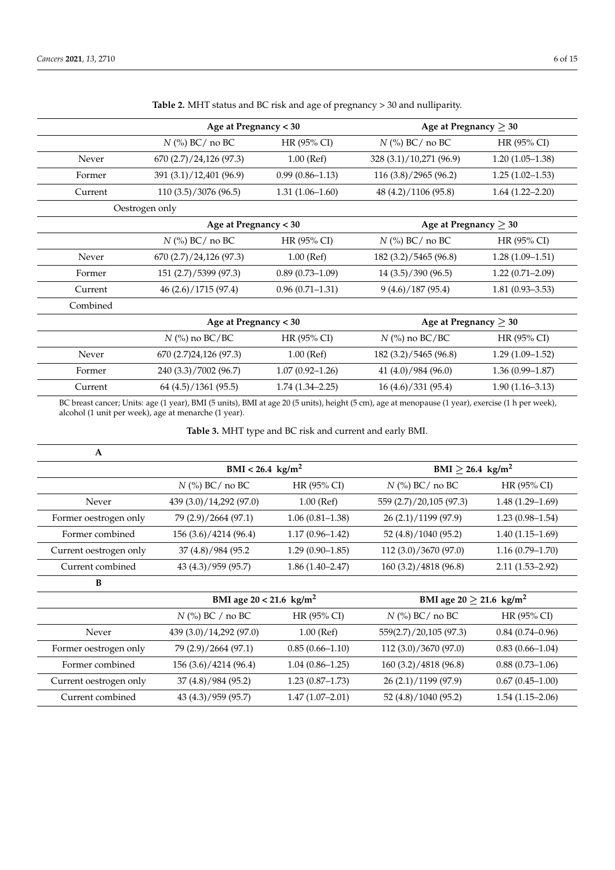<span id="page-5-0"></span>

|          | Age at Pregnancy < 30   |                       | Age at Pregnancy $\geq 30$ |                            |
|----------|-------------------------|-----------------------|----------------------------|----------------------------|
|          | $N$ (%) BC/ no BC       | HR (95% CI)           | $N$ (%) BC/ no BC          | HR (95% CI)                |
| Never    | 670(2.7)/24,126(97.3)   | $1.00$ (Ref)          | 328 (3.1)/10,271 (96.9)    | $1.20(1.05-1.38)$          |
| Former   | 391 (3.1)/12,401 (96.9) | $0.99(0.86 - 1.13)$   | 116 (3.8)/2965 (96.2)      | $1.25(1.02 - 1.53)$        |
| Current  | 110(3.5)/3076(96.5)     | $1.31(1.06 - 1.60)$   | 48 (4.2)/1106 (95.8)       | $1.64(1.22 - 2.20)$        |
|          | Oestrogen only          |                       |                            |                            |
|          | Age at Pregnancy < 30   |                       | Age at Pregnancy $\geq 30$ |                            |
|          | $N$ (%) BC/ no BC       | HR (95% CI)           | $N$ (%) BC/ no BC          | HR (95% CI)                |
| Never    | 670(2.7)/24,126(97.3)   | $1.00$ (Ref)          | 182 (3.2)/5465 (96.8)      | $1.28(1.09-1.51)$          |
| Former   | 151 (2.7)/5399 (97.3)   | $0.89(0.73 - 1.09)$   | 14(3.5)/390(96.5)          | $1.22(0.71 - 2.09)$        |
| Current  | 46 (2.6)/1715 (97.4)    | $0.96(0.71 - 1.31)$   | 9(4.6)/187(95.4)           | $1.81(0.93 - 3.53)$        |
| Combined |                         |                       |                            |                            |
|          |                         | Age at Pregnancy < 30 |                            | Age at Pregnancy $\geq 30$ |
|          | $N$ (%) no BC/BC        | HR (95% CI)           | $N$ (%) no BC/BC           | HR (95% CI)                |
| Never    | 670 (2.7)24,126 (97.3)  | $1.00$ (Ref)          | 182 (3.2)/5465 (96.8)      | $1.29(1.09-1.52)$          |
| Former   | 240 (3.3)/7002 (96.7)   | $1.07(0.92 - 1.26)$   | 41 (4.0)/984 (96.0)        | $1.36(0.99 - 1.87)$        |
| Current  | 64(4.5)/1361(95.5)      | $1.74(1.34 - 2.25)$   | 16(4.6)/331(95.4)          | $1.90(1.16 - 3.13)$        |

**Table 2.** MHT status and BC risk and age of pregnancy > 30 and nulliparity.

BC breast cancer; Units: age (1 year), BMI (5 units), BMI at age 20 (5 units), height (5 cm), age at menopause (1 year), exercise (1 h per week), alcohol (1 unit per week), age at menarche (1 year).

**Table 3.** MHT type and BC risk and current and early BMI.

| A                      |                             |                     |                                   |                   |
|------------------------|-----------------------------|---------------------|-----------------------------------|-------------------|
|                        | $BMI < 26.4 \text{ kg/m}^2$ |                     | $BMI \geq 26.4$ kg/m <sup>2</sup> |                   |
|                        | $N$ (%) BC/ no BC           | HR (95% CI)         | $N$ (%) BC/ no BC                 | HR (95% CI)       |
| Never                  | 439 (3.0)/14,292 (97.0)     | $1.00$ (Ref)        | 559 (2.7)/20,105 (97.3)           | $1.48(1.29-1.69)$ |
| Former oestrogen only  | 79 (2.9)/2664 (97.1)        | $1.06(0.81-1.38)$   | 26 (2.1)/1199 (97.9)              | $1.23(0.98-1.54)$ |
| Former combined        | 156 (3.6)/4214 (96.4)       | $1.17(0.96 - 1.42)$ | 52 (4.8)/1040 (95.2)              | $1.40(1.15-1.69)$ |
| Current oestrogen only | 37 (4.8)/984 (95.2)         | $1.29(0.90-1.85)$   | 112 (3.0)/3670 (97.0)             | $1.16(0.79-1.70)$ |
| Current combined       | 43 (4.3)/959 (95.7)         | $1.86(1.40-2.47)$   | 160 (3.2)/4818 (96.8)             | $2.11(1.53-2.92)$ |
| B                      |                             |                     |                                   |                   |

|                        | BMI age $20 < 21.6$ kg/m <sup>2</sup>       |                     | BMI age $20 \ge 21.6$ kg/m <sup>2</sup> |                     |
|------------------------|---------------------------------------------|---------------------|-----------------------------------------|---------------------|
|                        | $N$ (%) BC / no BC<br>$HR(95\% CI)$         |                     | $N$ (%) BC/ no BC                       | $HR(95\% CI)$       |
| Never                  | 439 (3.0)/14,292 (97.0)                     | $1.00$ (Ref)        | 559(2.7)/20,105 (97.3)                  | $0.84(0.74-0.96)$   |
| Former oestrogen only  | 79 (2.9)/2664 (97.1)<br>$0.85(0.66 - 1.10)$ |                     | 112(3.0)/3670(97.0)                     | $0.83(0.66 - 1.04)$ |
| Former combined        | 156 (3.6)/4214 (96.4)                       | $1.04(0.86 - 1.25)$ | 160(3.2)/4818(96.8)                     | $0.88(0.73-1.06)$   |
| Current oestrogen only | 37(4.8)/984(95.2)                           | $1.23(0.87-1.73)$   | 26 (2.1)/1199 (97.9)                    | $0.67(0.45-1.00)$   |
| Current combined       | 43 (4.3)/959 (95.7)                         | $1.47(1.07-2.01)$   | 52 (4.8)/1040 (95.2)                    | $1.54(1.15-2.06)$   |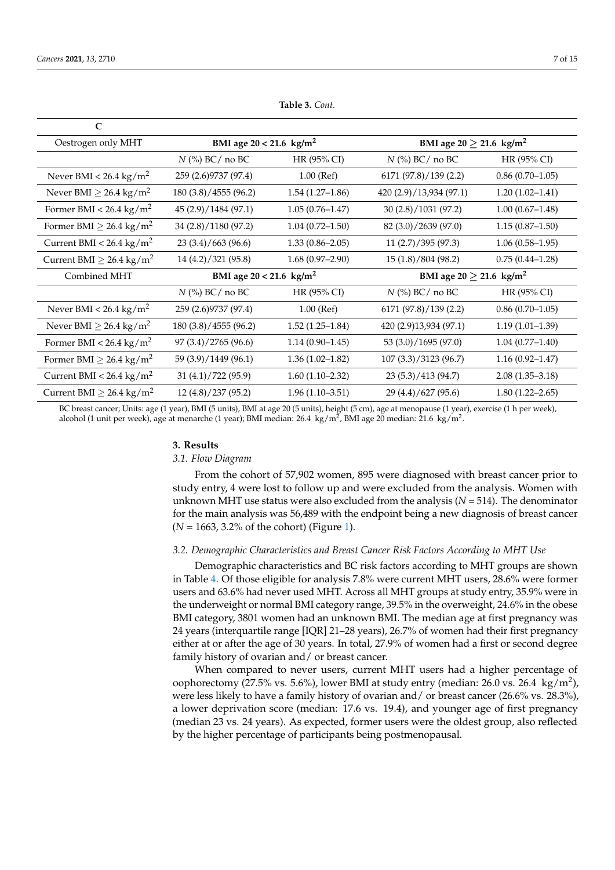$\sim$ 

<span id="page-6-0"></span>

| ◟                                         |                                       |                     |                                          |                     |  |
|-------------------------------------------|---------------------------------------|---------------------|------------------------------------------|---------------------|--|
| Oestrogen only MHT                        | BMI age $20 < 21.6$ kg/m <sup>2</sup> |                     | BMI age 20 $\geq$ 21.6 kg/m <sup>2</sup> |                     |  |
|                                           | HR (95% CI)<br>$N$ (%) BC/ no BC      |                     | $N$ (%) BC/ no BC                        | HR (95% CI)         |  |
| Never BMI < 26.4 kg/m <sup>2</sup>        | 259 (2.6) 9737 (97.4)                 | $1.00$ (Ref)        | 6171 (97.8)/139 (2.2)                    | $0.86(0.70-1.05)$   |  |
| Never BMI $\geq$ 26.4 kg/m <sup>2</sup>   | 180 (3.8)/4555 (96.2)                 | $1.54(1.27-1.86)$   | 420 (2.9)/13,934 (97.1)                  | $1.20(1.02 - 1.41)$ |  |
| Former BMI < $26.4 \text{ kg/m}^2$        | 45 (2.9)/1484 (97.1)                  | $1.05(0.76 - 1.47)$ | 30 (2.8)/1031 (97.2)                     | $1.00(0.67-1.48)$   |  |
| Former BMI $\geq$ 26.4 kg/m <sup>2</sup>  | 34 (2.8)/1180 (97.2)                  | $1.04(0.72 - 1.50)$ | 82 (3.0)/2639 (97.0)                     | $1.15(0.87-1.50)$   |  |
| Current BMI < $26.4 \text{ kg/m}^2$       | 23(3.4)/663(96.6)                     | $1.33(0.86 - 2.05)$ | 11(2.7)/395(97.3)<br>$1.06(0.58-1.95)$   |                     |  |
| Current BMI $\geq$ 26.4 kg/m <sup>2</sup> | 14 (4.2)/321 (95.8)                   | $1.68(0.97-2.90)$   | 15 (1.8)/804 (98.2)                      | $0.75(0.44 - 1.28)$ |  |
| Combined MHT                              | BMI age $20 < 21.6$ kg/m <sup>2</sup> |                     | BMI age $20 \ge 21.6$ kg/m <sup>2</sup>  |                     |  |
|                                           | $N$ (%) BC/ no BC                     | HR (95% CI)         | $N$ (%) BC/ no BC                        | HR (95% CI)         |  |
| Never BMI < 26.4 kg/m <sup>2</sup>        | 259 (2.6) 9737 (97.4)                 | $1.00$ (Ref)        | 6171 (97.8)/139 (2.2)                    | $0.86(0.70-1.05)$   |  |
| Never BMI $\geq$ 26.4 kg/m <sup>2</sup>   | 180 (3.8)/4555 (96.2)                 | $1.52(1.25-1.84)$   | 420 (2.9)13,934 (97.1)                   | $1.19(1.01-1.39)$   |  |
| Former BMI < $26.4 \text{ kg/m}^2$        | 97 (3.4)/2765 (96.6)                  | $1.14(0.90-1.45)$   | 53 (3.0)/1695 (97.0)                     | $1.04(0.77-1.40)$   |  |
| Former BMI $\geq$ 26.4 kg/m <sup>2</sup>  | 59 (3.9)/1449 (96.1)                  | $1.36(1.02 - 1.82)$ | 107 (3.3)/3123 (96.7)                    | $1.16(0.92 - 1.47)$ |  |
| Current BMI < $26.4 \text{ kg/m}^2$       | 31(4.1)/722(95.9)                     | $1.60(1.10-2.32)$   | 23 (5.3)/413 (94.7)                      | $2.08(1.35 - 3.18)$ |  |
| Current BMI $\geq$ 26.4 kg/m <sup>2</sup> | 12 (4.8)/237 (95.2)                   | $1.96(1.10-3.51)$   | 29 (4.4)/627 (95.6)                      | $1.80(1.22 - 2.65)$ |  |

**Table 3.** *Cont.*

BC breast cancer; Units: age (1 year), BMI (5 units), BMI at age 20 (5 units), height (5 cm), age at menopause (1 year), exercise (1 h per week), alcohol (1 unit per week), age at menarche (1 year); BMI median: 26.4  $\ kg/m^2$ , BMI age 20 median: 21.6  $\ kg/m^2$ .

## **3. Results**

#### *3.1. Flow Diagram*

From the cohort of 57,902 women, 895 were diagnosed with breast cancer prior to study entry, 4 were lost to follow up and were excluded from the analysis. Women with unknown MHT use status were also excluded from the analysis (*N* = 514). The denominator for the main analysis was 56,489 with the endpoint being a new diagnosis of breast cancer  $(N = 1663, 3.2\%$  of the cohort) (Figure [1\)](#page-3-0).

# *3.2. Demographic Characteristics and Breast Cancer Risk Factors According to MHT Use*

Demographic characteristics and BC risk factors according to MHT groups are shown in Table [4.](#page-7-0) Of those eligible for analysis 7.8% were current MHT users, 28.6% were former users and 63.6% had never used MHT. Across all MHT groups at study entry, 35.9% were in the underweight or normal BMI category range, 39.5% in the overweight, 24.6% in the obese BMI category, 3801 women had an unknown BMI. The median age at first pregnancy was 24 years (interquartile range [IQR] 21–28 years), 26.7% of women had their first pregnancy either at or after the age of 30 years. In total, 27.9% of women had a first or second degree family history of ovarian and/ or breast cancer.

When compared to never users, current MHT users had a higher percentage of oophorectomy (27.5% vs. 5.6%), lower BMI at study entry (median: 26.0 vs. 26.4 kg/m<sup>2</sup>), were less likely to have a family history of ovarian and/ or breast cancer (26.6% vs. 28.3%), a lower deprivation score (median: 17.6 vs. 19.4), and younger age of first pregnancy (median 23 vs. 24 years). As expected, former users were the oldest group, also reflected by the higher percentage of participants being postmenopausal.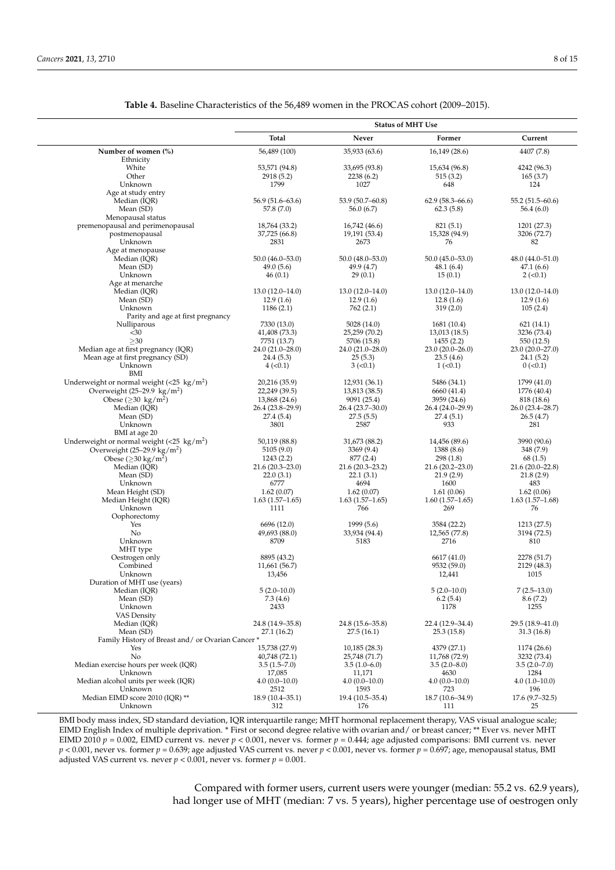Oophorectomy

MHT type

Duration of MHT use (years)

<span id="page-7-0"></span>

|                                                     |                     |                     | <b>Status of MHT Use</b> |                     |
|-----------------------------------------------------|---------------------|---------------------|--------------------------|---------------------|
|                                                     | <b>Total</b>        | Never               | Former                   | Current             |
| Number of women (%)                                 | 56,489 (100)        | 35,933 (63.6)       | 16,149 (28.6)            | 4407 (7.8)          |
| Ethnicity                                           |                     |                     |                          |                     |
| White                                               | 53,571 (94.8)       | 33,695 (93.8)       | 15,634 (96.8)            | 4242 (96.3)         |
| Other                                               | 2918 (5.2)          | 2238(6.2)           | 515(3.2)                 | 165(3.7)            |
| Unknown                                             | 1799                | 1027                | 648                      | 124                 |
| Age at study entry                                  |                     |                     |                          |                     |
| Median (IQR)                                        | $56.9(51.6 - 63.6)$ | 53.9 (50.7-60.8)    | $62.9(58.3 - 66.6)$      | $55.2(51.5 - 60.6)$ |
| Mean (SD)                                           | 57.8 (7.0)          | 56.0(6.7)           | 62.3(5.8)                | 56.4 (6.0)          |
| Menopausal status                                   |                     |                     |                          |                     |
| premenopausal and perimenopausal                    | 18,764 (33.2)       | 16,742 (46.6)       | 821(5.1)                 | 1201 (27.3)         |
| postmenopausal                                      | 37,725 (66.8)       | 19,191 (53.4)       | 15,328 (94.9)            | 3206 (72.7)         |
| Unknown                                             | 2831                | 2673                | 76                       | 82                  |
| Age at menopause                                    |                     |                     |                          |                     |
| Median (IQR)                                        | $50.0(46.0 - 53.0)$ | $50.0(48.0 - 53.0)$ | $50.0(45.0 - 53.0)$      | 48.0 (44.0-51.0)    |
| Mean (SD)                                           | 49.0(5.6)           | 49.9 (4.7)          | 48.1 (6.4)               | 47.1(6.6)           |
| Unknown                                             | 46(0.1)             | 29(0.1)             | 15(0.1)                  | $2 (-0.1)$          |
| Age at menarche                                     |                     |                     |                          |                     |
| Median (IQR)                                        | $13.0(12.0-14.0)$   | $13.0(12.0-14.0)$   | $13.0(12.0-14.0)$        | $13.0(12.0-14.0)$   |
| Mean (SD)                                           | 12.9(1.6)           | 12.9(1.6)           | 12.8(1.6)                | 12.9(1.6)           |
| Unknown                                             | 1186(2.1)           | 762(2.1)            | 319(2.0)                 | 105(2.4)            |
| Parity and age at first pregnancy                   |                     |                     |                          |                     |
| Nulliparous                                         | 7330 (13.0)         | 5028 (14.0)         | 1681 (10.4)              | 621(14.1)           |
| $30$                                                | 41,408 (73.3)       | 25,259 (70.2)       | 13,013 (18.5)            | 3236 (73.4)         |
| >30                                                 | 7751 (13.7)         | 5706 (15.8)         | 1455(2.2)                | 550 (12.5)          |
| Median age at first pregnancy (IQR)                 | 24.0 (21.0-28.0)    | 24.0 (21.0-28.0)    | $23.0(20.0-26.0)$        | 23.0 (20.0-27.0)    |
| Mean age at first pregnancy (SD)                    | 24.4(5.3)           | 25(5.3)             | 23.5(4.6)                | 24.1(5.2)           |
| Unknown                                             | $4 (-0.1)$          | $3 (-0.1)$          | $1 (-0.1)$               | $0$ (< 0.1)         |
| BMI                                                 |                     |                     |                          |                     |
| Underweight or normal weight $(<25 \text{ kg/m}^2)$ | 20,216 (35.9)       | 12,931 (36.1)       | 5486 (34.1)              | 1799 (41.0)         |
| Overweight $(25-29.9 \text{ kg/m}^2)$               | 22,249 (39.5)       | 13,813 (38.5)       | 6660 (41.4)              | 1776 (40.4)         |
| Obese ( $\geq$ 30 kg/m <sup>2</sup> )               | 13,868 (24.6)       | 9091 (25.4)         | 3959 (24.6)              | 818 (18.6)          |
| Median (IQR)                                        | 26.4 (23.8-29.9)    | 26.4 (23.7-30.0)    | 26.4 (24.0-29.9)         | 26.0 (23.4-28.7)    |
| Mean (SD)                                           | 27.4 (5.4)          | 27.5(5.5)           | 27.4(5.1)                | 26.5(4.7)           |
| Unknown                                             | 3801                | 2587                | 933                      | 281                 |
| BMI at age 20                                       |                     |                     |                          |                     |
| Underweight or normal weight $(<25 \text{ kg/m}^2)$ | 50,119 (88.8)       | 31,673 (88.2)       | 14,456 (89.6)            | 3990 (90.6)         |
| Overweight $(25-29.9 \text{ kg/m}^2)$               | 5105(9.0)           | 3369 (9.4)          | 1388 (8.6)               | 348 (7.9)           |
| Obese $(230 \text{ kg/m}^2)$                        | 1243(2.2)           | 877 (2.4)           | 298(1.8)                 | 68(1.5)             |
| Median (IQR)                                        | $21.6(20.3 - 23.0)$ | $21.6(20.3 - 23.2)$ | $21.6(20.2 - 23.0)$      | $21.6(20.0-22.8)$   |
| Mean (SD)                                           | 22.0(3.1)           | 22.1(3.1)           | 21.9(2.9)                | 21.8(2.9)           |
| Unknown                                             | 6777                | 4694                | 1600                     | 483                 |

| Table 4. Baseline Characteristics of the 56,489 women in the PROCAS cohort (2009–2015). |  |
|-----------------------------------------------------------------------------------------|--|
|-----------------------------------------------------------------------------------------|--|

VAS Density<br>Median (IQR) Aedian (IQR) 24.8 (14.9–35.8) 24.8 (15.6–35.8) 22.4 (12.9–34.4) 29.5 (18.9–41.0)<br>
Mean (SD) 27.1 (16.2) 27.5 (16.1) 25.3 (15.8) 31.3 (16.8) Mean (SD) 27.1 (16.2) 27.5 (16.1) 27.5 (16.1) 25.3 (15.8) 31.3 (16.8) Family History of Breast and / or Ovarian Cancer \* Yes 15,738 (27.9) Yes 15,738 (27.9) 10,185 (28.3) 4379 (27.1) 1174 (26.6) No  $40,748$  (72.1)  $25,748$  (71.7)  $11,768$  (72.9)  $3232$  (73.4) Median exercise hours per week (IQR)  $3.5 (1.5-7.0)$   $3.5 (1.0-6.0)$   $3.5 (2.0-8.0)$   $3.5 (2.0-8.0)$   $3.5 (2.0-8.0)$   $3.5 (2.0-8.0)$   $3.5 (2.0-8.0)$   $3.5 (2.0-8.0)$   $3.5 (2.0-8.0)$   $3.5 (2.0-8.0)$   $3.5 (2.0-8.0)$   $3.5 (2.0-8.0)$ Unknown 17,085 11,171 4630 1284 Median alcohol units per week (IQR)  $4.0 \frac{(0.0-10.0)}{2512}$   $4.0 \frac{(0.0-10.0)}{1593}$   $4.0 \frac{(0.0-10.0)}{723}$   $4.0 \frac{(1.0-10.0)}{1593}$   $4.0 \frac{(0.0-10.0)}{723}$   $4.0 \frac{(0.0-10.0)}{1593}$ Unknown 2512 1593 723 196 Median EIMD score 2010 (IQR) \*\* 18.9 (10.4–35.1) 19.4 (10.5–35.4) 18.7 (10.6–34.9) 17.6 (9.7–32.5)<br>Unknown 312 176 111 25 Unknown 312 176 111 25 BMI body mass index, SD standard deviation, IQR interquartile range; MHT hormonal replacement therapy, VAS visual analogue scale;

Mean Height (SD) 1.62 (0.07) 1.62 (0.07) 1.62 (0.07) 1.62 (0.07) 1.62 (0.06) 1.62 (0.06) 1.63 (1.57-1.68) 1.63 (1.57-1.68) Median Height (IQR) 1.63 (1.57–1.65) 1.63 (1.57–1.65) 1.63 (1.57–1.65) 1.63 (1.57–1.65) 1.63 (1.57–1.65) 1.63<br>1111 766 269 269 Unknown 1111 766 269 76

Oestrogen only 8895 (43.2) 6617 (41.0) 2278 (51.7)<br>Combined 11,661 (56.7) 9532 (59.0) 2129 (48.3) Combined 11,661 (56.7) 9532 (59.0) 2129 (48.3) Unknown 13,456 12,441 1015

Median (IQR) 5 (2.0–10.0) 5 (2.0–10.0) 5 (2.0–10.0) 7 (2.5–13.0)<br>Mean (SD) 7.3 (4.6) 5 (2.0–10.0) 6.2 (5.4) 8.6 (7.2) Mean (SD) 6.2 (5.4) 6.2 (5.4) 6.2 (5.4) 6.2 (5.4) 6.2 (5.4) 6.2 (5.4) 6.2 (5.4) 6.2 (5.4) 6.4 (7.2) Unknown 2433 1178 1255

Yes 6696 (12.0) 1999 (5.6) 3584 (22.2) 1213 (27.5) No 3194 (72.5) 49,693 (88.0) 33,934 (94.4) 12,565 (77.8) 3194 (72.5) Unknown 8709 5183 2716 810

EIMD English Index of multiple deprivation. \* First or second degree relative with ovarian and/ or breast cancer; \*\* Ever vs. never MHT EIMD 2010  $p = 0.002$ , EIMD current vs. never  $p < 0.001$ , never vs. former  $p = 0.444$ ; age adjusted comparisons: BMI current vs. never *p* < 0.001, never vs. former *p* = 0.639; age adjusted VAS current vs. never *p* < 0.001, never vs. former *p* = 0.697; age, menopausal status, BMI adjusted VAS current vs. never  $p < 0.001$ , never vs. former  $p = 0.001$ .

> Compared with former users, current users were younger (median: 55.2 vs. 62.9 years), had longer use of MHT (median: 7 vs. 5 years), higher percentage use of oestrogen only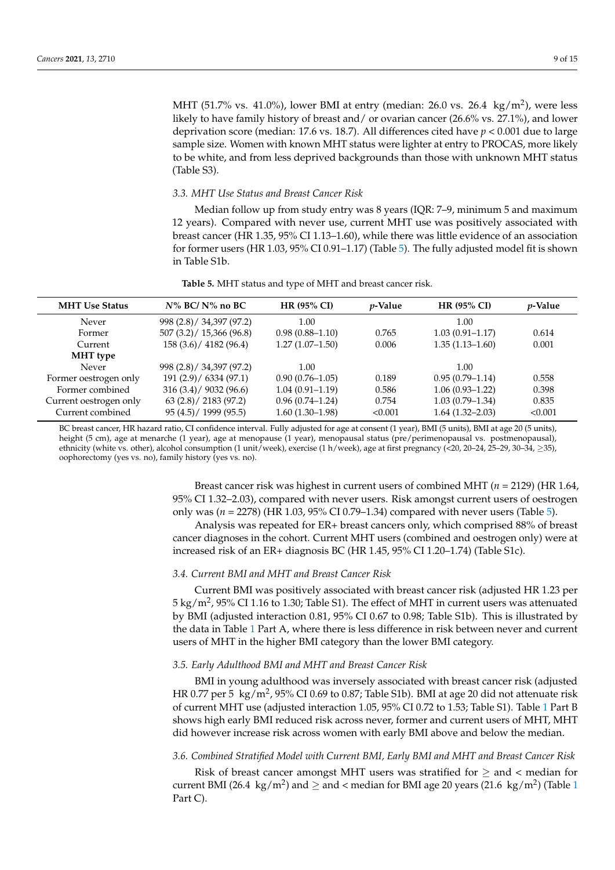MHT (51.7% vs. 41.0%), lower BMI at entry (median: 26.0 vs. 26.4 kg/m<sup>2</sup>), were less likely to have family history of breast and/ or ovarian cancer (26.6% vs. 27.1%), and lower deprivation score (median: 17.6 vs. 18.7). All differences cited have  $p < 0.001$  due to large sample size. Women with known MHT status were lighter at entry to PROCAS, more likely to be white, and from less deprived backgrounds than those with unknown MHT status (Table S3).

# *3.3. MHT Use Status and Breast Cancer Risk*

Median follow up from study entry was 8 years (IQR: 7–9, minimum 5 and maximum 12 years). Compared with never use, current MHT use was positively associated with breast cancer (HR 1.35, 95% CI 1.13–1.60), while there was little evidence of an association for former users (HR 1.03, 95% CI 0.91–1.17) (Table [5\)](#page-8-0). The fully adjusted model fit is shown in Table S1b.

<span id="page-8-0"></span>

| <b>MHT Use Status</b>  | $N\%$ BC/N% no BC         | <b>HR (95% CI)</b>  | <i>p</i> -Value | <b>HR (95% CI)</b>  | <i>p</i> -Value |
|------------------------|---------------------------|---------------------|-----------------|---------------------|-----------------|
| Never                  | 998 (2.8) / 34,397 (97.2) | 1.00                |                 | 1.00                |                 |
| Former                 | 507(3.2)/15,366(96.8)     | $0.98(0.88 - 1.10)$ | 0.765           | $1.03(0.91 - 1.17)$ | 0.614           |
| Current                | 158 (3.6) / 4182 (96.4)   | $1.27(1.07-1.50)$   | 0.006           | $1.35(1.13 - 1.60)$ | 0.001           |
| MHT type               |                           |                     |                 |                     |                 |
| Never                  | 998 (2.8) / 34,397 (97.2) | 1.00                |                 | 1.00                |                 |
| Former oestrogen only  | 191(2.9) / 6334(97.1)     | $0.90(0.76 - 1.05)$ | 0.189           | $0.95(0.79 - 1.14)$ | 0.558           |
| Former combined        | 316(3.4)/9032(96.6)       | $1.04(0.91-1.19)$   | 0.586           | $1.06(0.93 - 1.22)$ | 0.398           |
| Current oestrogen only | (63 (2.8) / 2183 (97.2))  | $0.96(0.74 - 1.24)$ | 0.754           | $1.03(0.79 - 1.34)$ | 0.835           |
| Current combined       | 95(4.5) / 1999(95.5)      | $1.60(1.30-1.98)$   | < 0.001         | $1.64(1.32 - 2.03)$ | < 0.001         |
|                        |                           |                     |                 |                     |                 |

**Table 5.** MHT status and type of MHT and breast cancer risk.

BC breast cancer, HR hazard ratio, CI confidence interval. Fully adjusted for age at consent (1 year), BMI (5 units), BMI at age 20 (5 units), height (5 cm), age at menarche (1 year), age at menopause (1 year), menopausal status (pre/perimenopausal vs. postmenopausal), ethnicity (white vs. other), alcohol consumption (1 unit/week), exercise (1 h/week), age at first pregnancy (<20, 20–24, 25–29, 30–34, ≥35), oophorectomy (yes vs. no), family history (yes vs. no).

> Breast cancer risk was highest in current users of combined MHT (*n* = 2129) (HR 1.64, 95% CI 1.32–2.03), compared with never users. Risk amongst current users of oestrogen only was (*n* = 2278) (HR 1.03, 95% CI 0.79–1.34) compared with never users (Table [5\)](#page-8-0).

> Analysis was repeated for ER+ breast cancers only, which comprised 88% of breast cancer diagnoses in the cohort. Current MHT users (combined and oestrogen only) were at increased risk of an ER+ diagnosis BC (HR 1.45, 95% CI 1.20–1.74) (Table S1c).

#### *3.4. Current BMI and MHT and Breast Cancer Risk*

Current BMI was positively associated with breast cancer risk (adjusted HR 1.23 per 5 kg/m<sup>2</sup>, 95% CI 1.16 to 1.30; Table S1). The effect of MHT in current users was attenuated by BMI (adjusted interaction 0.81, 95% CI 0.67 to 0.98; Table S1b). This is illustrated by the data in Table [1](#page-4-0) Part A, where there is less difference in risk between never and current users of MHT in the higher BMI category than the lower BMI category.

#### *3.5. Early Adulthood BMI and MHT and Breast Cancer Risk*

BMI in young adulthood was inversely associated with breast cancer risk (adjusted HR 0.77 per 5  $\ kg/m^2$ , 95% CI 0.69 to 0.87; Table S1b). BMI at age 20 did not attenuate risk of current MHT use (adjusted interaction 1.05, 95% CI 0.72 to 1.53; Table S1). Table [1](#page-4-0) Part B shows high early BMI reduced risk across never, former and current users of MHT, MHT did however increase risk across women with early BMI above and below the median.

# *3.6. Combined Stratified Model with Current BMI, Early BMI and MHT and Breast Cancer Risk*

Risk of breast cancer amongst MHT users was stratified for  $>$  and  $<$  median for current BMI (26.4  $\ kg/m^2$ ) and  $\geq$  and < median for BMI age 20 years (2[1](#page-4-0).6  $\ kg/m^2$ ) (Table 1 Part C).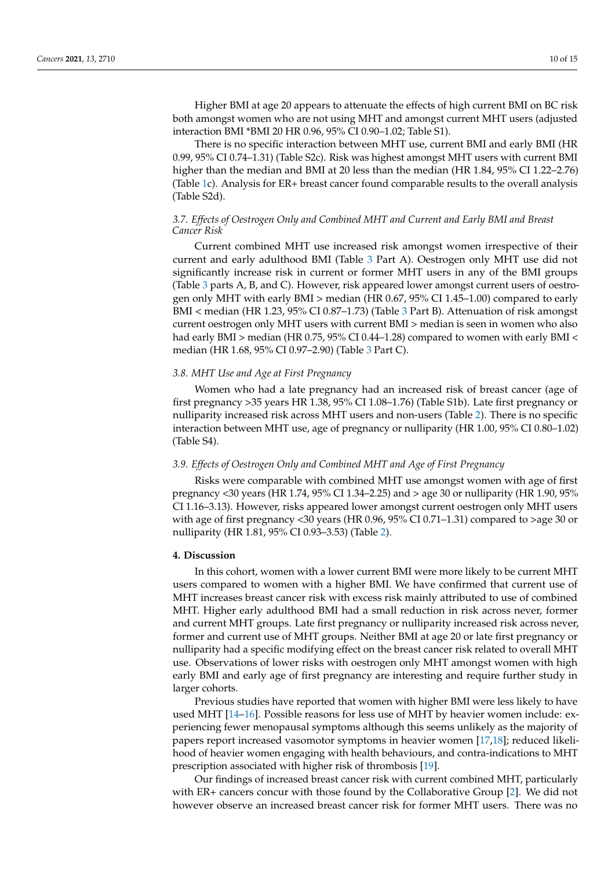Higher BMI at age 20 appears to attenuate the effects of high current BMI on BC risk both amongst women who are not using MHT and amongst current MHT users (adjusted interaction BMI \*BMI 20 HR 0.96, 95% CI 0.90–1.02; Table S1).

There is no specific interaction between MHT use, current BMI and early BMI (HR 0.99, 95% CI 0.74–1.31) (Table S2c). Risk was highest amongst MHT users with current BMI higher than the median and BMI at 20 less than the median (HR 1.84, 95% CI 1.22–2.76) (Table [1c](#page-4-0)). Analysis for ER+ breast cancer found comparable results to the overall analysis (Table S2d).

# *3.7. Effects of Oestrogen Only and Combined MHT and Current and Early BMI and Breast Cancer Risk*

Current combined MHT use increased risk amongst women irrespective of their current and early adulthood BMI (Table [3](#page-6-0) Part A). Oestrogen only MHT use did not significantly increase risk in current or former MHT users in any of the BMI groups (Table [3](#page-6-0) parts A, B, and C). However, risk appeared lower amongst current users of oestrogen only MHT with early BMI > median (HR 0.67, 95% CI 1.45–1.00) compared to early BMI < median (HR 1.23, 95% CI 0.87–1.73) (Table [3](#page-6-0) Part B). Attenuation of risk amongst current oestrogen only MHT users with current BMI > median is seen in women who also had early BMI > median (HR 0.75, 95% CI 0.44–1.28) compared to women with early BMI < median (HR 1.68, 95% CI 0.97–2.90) (Table [3](#page-6-0) Part C).

## *3.8. MHT Use and Age at First Pregnancy*

Women who had a late pregnancy had an increased risk of breast cancer (age of first pregnancy >35 years HR 1.38, 95% CI 1.08–1.76) (Table S1b). Late first pregnancy or nulliparity increased risk across MHT users and non-users (Table [2\)](#page-5-0). There is no specific interaction between MHT use, age of pregnancy or nulliparity (HR 1.00, 95% CI 0.80–1.02) (Table S4).

# *3.9. Effects of Oestrogen Only and Combined MHT and Age of First Pregnancy*

Risks were comparable with combined MHT use amongst women with age of first pregnancy <30 years (HR 1.74, 95% CI 1.34–2.25) and > age 30 or nulliparity (HR 1.90, 95% CI 1.16–3.13). However, risks appeared lower amongst current oestrogen only MHT users with age of first pregnancy <30 years (HR 0.96, 95% CI 0.71–1.31) compared to >age 30 or nulliparity (HR 1.81, 95% CI 0.93–3.53) (Table [2\)](#page-5-0).

#### **4. Discussion**

In this cohort, women with a lower current BMI were more likely to be current MHT users compared to women with a higher BMI. We have confirmed that current use of MHT increases breast cancer risk with excess risk mainly attributed to use of combined MHT. Higher early adulthood BMI had a small reduction in risk across never, former and current MHT groups. Late first pregnancy or nulliparity increased risk across never, former and current use of MHT groups. Neither BMI at age 20 or late first pregnancy or nulliparity had a specific modifying effect on the breast cancer risk related to overall MHT use. Observations of lower risks with oestrogen only MHT amongst women with high early BMI and early age of first pregnancy are interesting and require further study in larger cohorts.

Previous studies have reported that women with higher BMI were less likely to have used MHT [\[14–](#page-13-13)[16\]](#page-13-14). Possible reasons for less use of MHT by heavier women include: experiencing fewer menopausal symptoms although this seems unlikely as the majority of papers report increased vasomotor symptoms in heavier women [\[17](#page-13-15)[,18\]](#page-13-16); reduced likelihood of heavier women engaging with health behaviours, and contra-indications to MHT prescription associated with higher risk of thrombosis [\[19\]](#page-13-17).

Our findings of increased breast cancer risk with current combined MHT, particularly with ER+ cancers concur with those found by the Collaborative Group [\[2\]](#page-13-1). We did not however observe an increased breast cancer risk for former MHT users. There was no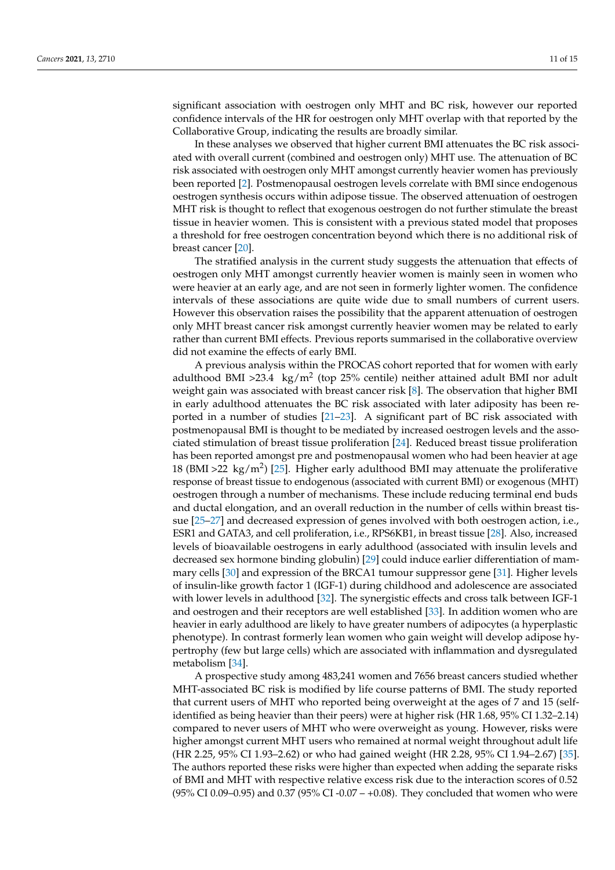significant association with oestrogen only MHT and BC risk, however our reported confidence intervals of the HR for oestrogen only MHT overlap with that reported by the Collaborative Group, indicating the results are broadly similar.

In these analyses we observed that higher current BMI attenuates the BC risk associated with overall current (combined and oestrogen only) MHT use. The attenuation of BC risk associated with oestrogen only MHT amongst currently heavier women has previously been reported [\[2\]](#page-13-1). Postmenopausal oestrogen levels correlate with BMI since endogenous oestrogen synthesis occurs within adipose tissue. The observed attenuation of oestrogen MHT risk is thought to reflect that exogenous oestrogen do not further stimulate the breast tissue in heavier women. This is consistent with a previous stated model that proposes a threshold for free oestrogen concentration beyond which there is no additional risk of breast cancer [\[20\]](#page-13-18).

The stratified analysis in the current study suggests the attenuation that effects of oestrogen only MHT amongst currently heavier women is mainly seen in women who were heavier at an early age, and are not seen in formerly lighter women. The confidence intervals of these associations are quite wide due to small numbers of current users. However this observation raises the possibility that the apparent attenuation of oestrogen only MHT breast cancer risk amongst currently heavier women may be related to early rather than current BMI effects. Previous reports summarised in the collaborative overview did not examine the effects of early BMI.

A previous analysis within the PROCAS cohort reported that for women with early adulthood BMI >23.4  $\ kg/m^2$  (top 25% centile) neither attained adult BMI nor adult weight gain was associated with breast cancer risk [\[8\]](#page-13-7). The observation that higher BMI in early adulthood attenuates the BC risk associated with later adiposity has been reported in a number of studies [\[21](#page-13-19)[–23\]](#page-13-20). A significant part of BC risk associated with postmenopausal BMI is thought to be mediated by increased oestrogen levels and the associated stimulation of breast tissue proliferation [\[24\]](#page-13-21). Reduced breast tissue proliferation has been reported amongst pre and postmenopausal women who had been heavier at age 18 (BMI >22  $\text{ kg/m}^2$ ) [\[25\]](#page-13-22). Higher early adulthood BMI may attenuate the proliferative response of breast tissue to endogenous (associated with current BMI) or exogenous (MHT) oestrogen through a number of mechanisms. These include reducing terminal end buds and ductal elongation, and an overall reduction in the number of cells within breast tissue [\[25–](#page-13-22)[27\]](#page-14-0) and decreased expression of genes involved with both oestrogen action, i.e., ESR1 and GATA3, and cell proliferation, i.e., RPS6KB1, in breast tissue [\[28\]](#page-14-1). Also, increased levels of bioavailable oestrogens in early adulthood (associated with insulin levels and decreased sex hormone binding globulin) [\[29\]](#page-14-2) could induce earlier differentiation of mammary cells [\[30\]](#page-14-3) and expression of the BRCA1 tumour suppressor gene [\[31\]](#page-14-4). Higher levels of insulin-like growth factor 1 (IGF-1) during childhood and adolescence are associated with lower levels in adulthood [\[32\]](#page-14-5). The synergistic effects and cross talk between IGF-1 and oestrogen and their receptors are well established [\[33\]](#page-14-6). In addition women who are heavier in early adulthood are likely to have greater numbers of adipocytes (a hyperplastic phenotype). In contrast formerly lean women who gain weight will develop adipose hypertrophy (few but large cells) which are associated with inflammation and dysregulated metabolism [\[34\]](#page-14-7).

A prospective study among 483,241 women and 7656 breast cancers studied whether MHT-associated BC risk is modified by life course patterns of BMI. The study reported that current users of MHT who reported being overweight at the ages of 7 and 15 (selfidentified as being heavier than their peers) were at higher risk (HR 1.68, 95% CI 1.32–2.14) compared to never users of MHT who were overweight as young. However, risks were higher amongst current MHT users who remained at normal weight throughout adult life (HR 2.25, 95% CI 1.93–2.62) or who had gained weight (HR 2.28, 95% CI 1.94–2.67) [\[35\]](#page-14-8). The authors reported these risks were higher than expected when adding the separate risks of BMI and MHT with respective relative excess risk due to the interaction scores of 0.52 (95% CI 0.09–0.95) and 0.37 (95% CI -0.07 – +0.08). They concluded that women who were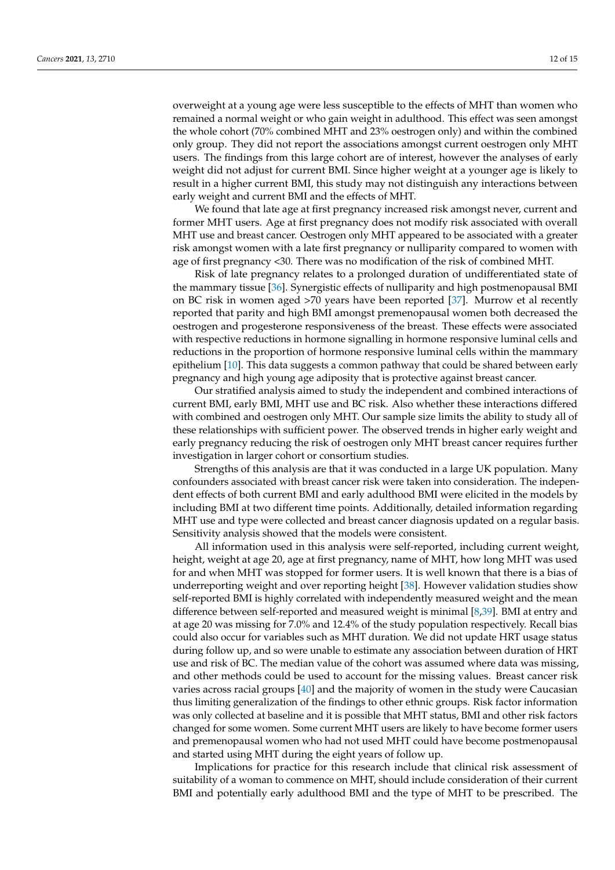overweight at a young age were less susceptible to the effects of MHT than women who remained a normal weight or who gain weight in adulthood. This effect was seen amongst the whole cohort (70% combined MHT and 23% oestrogen only) and within the combined only group. They did not report the associations amongst current oestrogen only MHT users. The findings from this large cohort are of interest, however the analyses of early weight did not adjust for current BMI. Since higher weight at a younger age is likely to result in a higher current BMI, this study may not distinguish any interactions between early weight and current BMI and the effects of MHT.

We found that late age at first pregnancy increased risk amongst never, current and former MHT users. Age at first pregnancy does not modify risk associated with overall MHT use and breast cancer. Oestrogen only MHT appeared to be associated with a greater risk amongst women with a late first pregnancy or nulliparity compared to women with age of first pregnancy <30. There was no modification of the risk of combined MHT.

Risk of late pregnancy relates to a prolonged duration of undifferentiated state of the mammary tissue [\[36\]](#page-14-9). Synergistic effects of nulliparity and high postmenopausal BMI on BC risk in women aged >70 years have been reported [\[37\]](#page-14-10). Murrow et al recently reported that parity and high BMI amongst premenopausal women both decreased the oestrogen and progesterone responsiveness of the breast. These effects were associated with respective reductions in hormone signalling in hormone responsive luminal cells and reductions in the proportion of hormone responsive luminal cells within the mammary epithelium [\[10\]](#page-13-9). This data suggests a common pathway that could be shared between early pregnancy and high young age adiposity that is protective against breast cancer.

Our stratified analysis aimed to study the independent and combined interactions of current BMI, early BMI, MHT use and BC risk. Also whether these interactions differed with combined and oestrogen only MHT. Our sample size limits the ability to study all of these relationships with sufficient power. The observed trends in higher early weight and early pregnancy reducing the risk of oestrogen only MHT breast cancer requires further investigation in larger cohort or consortium studies.

Strengths of this analysis are that it was conducted in a large UK population. Many confounders associated with breast cancer risk were taken into consideration. The independent effects of both current BMI and early adulthood BMI were elicited in the models by including BMI at two different time points. Additionally, detailed information regarding MHT use and type were collected and breast cancer diagnosis updated on a regular basis. Sensitivity analysis showed that the models were consistent.

All information used in this analysis were self-reported, including current weight, height, weight at age 20, age at first pregnancy, name of MHT, how long MHT was used for and when MHT was stopped for former users. It is well known that there is a bias of underreporting weight and over reporting height [\[38\]](#page-14-11). However validation studies show self-reported BMI is highly correlated with independently measured weight and the mean difference between self-reported and measured weight is minimal [\[8,](#page-13-7)[39\]](#page-14-12). BMI at entry and at age 20 was missing for 7.0% and 12.4% of the study population respectively. Recall bias could also occur for variables such as MHT duration. We did not update HRT usage status during follow up, and so were unable to estimate any association between duration of HRT use and risk of BC. The median value of the cohort was assumed where data was missing, and other methods could be used to account for the missing values. Breast cancer risk varies across racial groups [\[40\]](#page-14-13) and the majority of women in the study were Caucasian thus limiting generalization of the findings to other ethnic groups. Risk factor information was only collected at baseline and it is possible that MHT status, BMI and other risk factors changed for some women. Some current MHT users are likely to have become former users and premenopausal women who had not used MHT could have become postmenopausal and started using MHT during the eight years of follow up.

Implications for practice for this research include that clinical risk assessment of suitability of a woman to commence on MHT, should include consideration of their current BMI and potentially early adulthood BMI and the type of MHT to be prescribed. The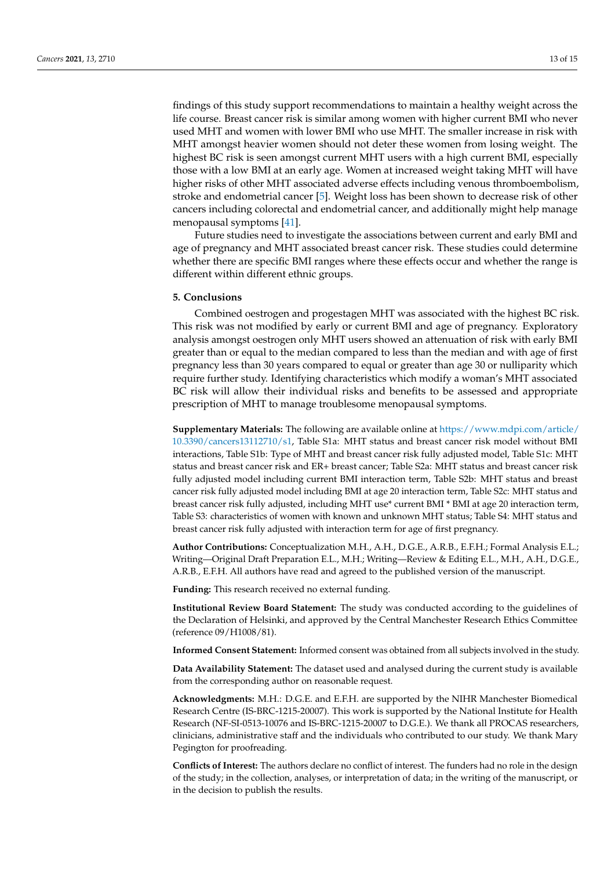findings of this study support recommendations to maintain a healthy weight across the life course. Breast cancer risk is similar among women with higher current BMI who never used MHT and women with lower BMI who use MHT. The smaller increase in risk with MHT amongst heavier women should not deter these women from losing weight. The highest BC risk is seen amongst current MHT users with a high current BMI, especially those with a low BMI at an early age. Women at increased weight taking MHT will have higher risks of other MHT associated adverse effects including venous thromboembolism, stroke and endometrial cancer [\[5\]](#page-13-4). Weight loss has been shown to decrease risk of other cancers including colorectal and endometrial cancer, and additionally might help manage menopausal symptoms [\[41\]](#page-14-14).

Future studies need to investigate the associations between current and early BMI and age of pregnancy and MHT associated breast cancer risk. These studies could determine whether there are specific BMI ranges where these effects occur and whether the range is different within different ethnic groups.

#### **5. Conclusions**

Combined oestrogen and progestagen MHT was associated with the highest BC risk. This risk was not modified by early or current BMI and age of pregnancy. Exploratory analysis amongst oestrogen only MHT users showed an attenuation of risk with early BMI greater than or equal to the median compared to less than the median and with age of first pregnancy less than 30 years compared to equal or greater than age 30 or nulliparity which require further study. Identifying characteristics which modify a woman's MHT associated BC risk will allow their individual risks and benefits to be assessed and appropriate prescription of MHT to manage troublesome menopausal symptoms.

**Supplementary Materials:** The following are available online at [https://www.mdpi.com/article/](https://www.mdpi.com/article/10.3390/cancers13112710/s1) [10.3390/cancers13112710/s1,](https://www.mdpi.com/article/10.3390/cancers13112710/s1) Table S1a: MHT status and breast cancer risk model without BMI interactions, Table S1b: Type of MHT and breast cancer risk fully adjusted model, Table S1c: MHT status and breast cancer risk and ER+ breast cancer; Table S2a: MHT status and breast cancer risk fully adjusted model including current BMI interaction term, Table S2b: MHT status and breast cancer risk fully adjusted model including BMI at age 20 interaction term, Table S2c: MHT status and breast cancer risk fully adjusted, including MHT use\* current BMI \* BMI at age 20 interaction term, Table S3: characteristics of women with known and unknown MHT status; Table S4: MHT status and breast cancer risk fully adjusted with interaction term for age of first pregnancy.

**Author Contributions:** Conceptualization M.H., A.H., D.G.E., A.R.B., E.F.H.; Formal Analysis E.L.; Writing—Original Draft Preparation E.L., M.H.; Writing—Review & Editing E.L., M.H., A.H., D.G.E., A.R.B., E.F.H. All authors have read and agreed to the published version of the manuscript.

**Funding:** This research received no external funding.

**Institutional Review Board Statement:** The study was conducted according to the guidelines of the Declaration of Helsinki, and approved by the Central Manchester Research Ethics Committee (reference 09/H1008/81).

**Informed Consent Statement:** Informed consent was obtained from all subjects involved in the study.

**Data Availability Statement:** The dataset used and analysed during the current study is available from the corresponding author on reasonable request.

**Acknowledgments:** M.H.: D.G.E. and E.F.H. are supported by the NIHR Manchester Biomedical Research Centre (IS-BRC-1215-20007). This work is supported by the National Institute for Health Research (NF-SI-0513-10076 and IS-BRC-1215-20007 to D.G.E.). We thank all PROCAS researchers, clinicians, administrative staff and the individuals who contributed to our study. We thank Mary Pegington for proofreading.

**Conflicts of Interest:** The authors declare no conflict of interest. The funders had no role in the design of the study; in the collection, analyses, or interpretation of data; in the writing of the manuscript, or in the decision to publish the results.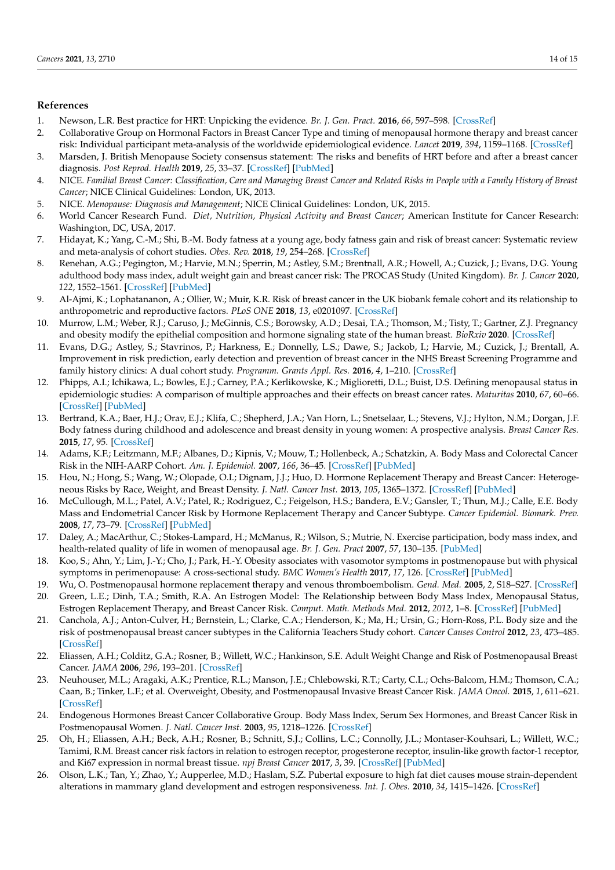# **References**

- <span id="page-13-0"></span>1. Newson, L.R. Best practice for HRT: Unpicking the evidence. *Br. J. Gen. Pract.* **2016**, *66*, 597–598. [\[CrossRef\]](http://doi.org/10.3399/bjgp16X687097)
- <span id="page-13-1"></span>2. Collaborative Group on Hormonal Factors in Breast Cancer Type and timing of menopausal hormone therapy and breast cancer risk: Individual participant meta-analysis of the worldwide epidemiological evidence. *Lancet* **2019**, *394*, 1159–1168. [\[CrossRef\]](http://doi.org/10.1016/S0140-6736(19)31709-X)
- <span id="page-13-2"></span>3. Marsden, J. British Menopause Society consensus statement: The risks and benefits of HRT before and after a breast cancer diagnosis. *Post Reprod. Health* **2019**, *25*, 33–37. [\[CrossRef\]](http://doi.org/10.1177/2053369119825716) [\[PubMed\]](http://www.ncbi.nlm.nih.gov/pubmed/30773990)
- <span id="page-13-3"></span>4. NICE. *Familial Breast Cancer: Classification, Care and Managing Breast Cancer and Related Risks in People with a Family History of Breast Cancer*; NICE Clinical Guidelines: London, UK, 2013.
- <span id="page-13-4"></span>5. NICE. *Menopause: Diagnosis and Management*; NICE Clinical Guidelines: London, UK, 2015.
- <span id="page-13-5"></span>6. World Cancer Research Fund. *Diet, Nutrition, Physical Activity and Breast Cancer*; American Institute for Cancer Research: Washington, DC, USA, 2017.
- <span id="page-13-6"></span>7. Hidayat, K.; Yang, C.-M.; Shi, B.-M. Body fatness at a young age, body fatness gain and risk of breast cancer: Systematic review and meta-analysis of cohort studies. *Obes. Rev.* **2018**, *19*, 254–268. [\[CrossRef\]](http://doi.org/10.1111/obr.12627)
- <span id="page-13-7"></span>8. Renehan, A.G.; Pegington, M.; Harvie, M.N.; Sperrin, M.; Astley, S.M.; Brentnall, A.R.; Howell, A.; Cuzick, J.; Evans, D.G. Young adulthood body mass index, adult weight gain and breast cancer risk: The PROCAS Study (United Kingdom). *Br. J. Cancer* **2020**, *122*, 1552–1561. [\[CrossRef\]](http://doi.org/10.1038/s41416-020-0807-9) [\[PubMed\]](http://www.ncbi.nlm.nih.gov/pubmed/32203222)
- <span id="page-13-8"></span>9. Al-Ajmi, K.; Lophatananon, A.; Ollier, W.; Muir, K.R. Risk of breast cancer in the UK biobank female cohort and its relationship to anthropometric and reproductive factors. *PLoS ONE* **2018**, *13*, e0201097. [\[CrossRef\]](http://doi.org/10.1371/journal.pone.0201097)
- <span id="page-13-9"></span>10. Murrow, L.M.; Weber, R.J.; Caruso, J.; McGinnis, C.S.; Borowsky, A.D.; Desai, T.A.; Thomson, M.; Tisty, T.; Gartner, Z.J. Pregnancy and obesity modify the epithelial composition and hormone signaling state of the human breast. *BioRxiv* **2020**. [\[CrossRef\]](http://doi.org/10.1101/430611)
- <span id="page-13-10"></span>11. Evans, D.G.; Astley, S.; Stavrinos, P.; Harkness, E.; Donnelly, L.S.; Dawe, S.; Jackob, I.; Harvie, M.; Cuzick, J.; Brentall, A. Improvement in risk prediction, early detection and prevention of breast cancer in the NHS Breast Screening Programme and family history clinics: A dual cohort study. *Programm. Grants Appl. Res.* **2016**, *4*, 1–210. [\[CrossRef\]](http://doi.org/10.3310/pgfar04110)
- <span id="page-13-11"></span>12. Phipps, A.I.; Ichikawa, L.; Bowles, E.J.; Carney, P.A.; Kerlikowske, K.; Miglioretti, D.L.; Buist, D.S. Defining menopausal status in epidemiologic studies: A comparison of multiple approaches and their effects on breast cancer rates. *Maturitas* **2010**, *67*, 60–66. [\[CrossRef\]](http://doi.org/10.1016/j.maturitas.2010.04.015) [\[PubMed\]](http://www.ncbi.nlm.nih.gov/pubmed/20494530)
- <span id="page-13-12"></span>13. Bertrand, K.A.; Baer, H.J.; Orav, E.J.; Klifa, C.; Shepherd, J.A.; Van Horn, L.; Snetselaar, L.; Stevens, V.J.; Hylton, N.M.; Dorgan, J.F. Body fatness during childhood and adolescence and breast density in young women: A prospective analysis. *Breast Cancer Res.* **2015**, *17*, 95. [\[CrossRef\]](http://doi.org/10.1186/s13058-015-0601-4)
- <span id="page-13-13"></span>14. Adams, K.F.; Leitzmann, M.F.; Albanes, D.; Kipnis, V.; Mouw, T.; Hollenbeck, A.; Schatzkin, A. Body Mass and Colorectal Cancer Risk in the NIH-AARP Cohort. *Am. J. Epidemiol.* **2007**, *166*, 36–45. [\[CrossRef\]](http://doi.org/10.1093/aje/kwm049) [\[PubMed\]](http://www.ncbi.nlm.nih.gov/pubmed/17449892)
- 15. Hou, N.; Hong, S.; Wang, W.; Olopade, O.I.; Dignam, J.J.; Huo, D. Hormone Replacement Therapy and Breast Cancer: Heterogeneous Risks by Race, Weight, and Breast Density. *J. Natl. Cancer Inst.* **2013**, *105*, 1365–1372. [\[CrossRef\]](http://doi.org/10.1093/jnci/djt207) [\[PubMed\]](http://www.ncbi.nlm.nih.gov/pubmed/24003037)
- <span id="page-13-14"></span>16. McCullough, M.L.; Patel, A.V.; Patel, R.; Rodriguez, C.; Feigelson, H.S.; Bandera, E.V.; Gansler, T.; Thun, M.J.; Calle, E.E. Body Mass and Endometrial Cancer Risk by Hormone Replacement Therapy and Cancer Subtype. *Cancer Epidemiol. Biomark. Prev.* **2008**, *17*, 73–79. [\[CrossRef\]](http://doi.org/10.1158/1055-9965.EPI-07-2567) [\[PubMed\]](http://www.ncbi.nlm.nih.gov/pubmed/18187388)
- <span id="page-13-15"></span>17. Daley, A.; MacArthur, C.; Stokes-Lampard, H.; McManus, R.; Wilson, S.; Mutrie, N. Exercise participation, body mass index, and health-related quality of life in women of menopausal age. *Br. J. Gen. Pract* **2007**, *57*, 130–135. [\[PubMed\]](http://www.ncbi.nlm.nih.gov/pubmed/17266830)
- <span id="page-13-16"></span>18. Koo, S.; Ahn, Y.; Lim, J.-Y.; Cho, J.; Park, H.-Y. Obesity associates with vasomotor symptoms in postmenopause but with physical symptoms in perimenopause: A cross-sectional study. *BMC Women's Health* **2017**, *17*, 126. [\[CrossRef\]](http://doi.org/10.1186/s12905-017-0487-7) [\[PubMed\]](http://www.ncbi.nlm.nih.gov/pubmed/29216853)
- <span id="page-13-18"></span><span id="page-13-17"></span>19. Wu, O. Postmenopausal hormone replacement therapy and venous thromboembolism. *Gend. Med.* **2005**, *2*, S18–S27. [\[CrossRef\]](http://doi.org/10.1016/S1550-8579(05)80061-0) 20. Green, L.E.; Dinh, T.A.; Smith, R.A. An Estrogen Model: The Relationship between Body Mass Index, Menopausal Status,
- Estrogen Replacement Therapy, and Breast Cancer Risk. *Comput. Math. Methods Med.* **2012**, *2012*, 1–8. [\[CrossRef\]](http://doi.org/10.1155/2012/792375) [\[PubMed\]](http://www.ncbi.nlm.nih.gov/pubmed/22291855)
- <span id="page-13-19"></span>21. Canchola, A.J.; Anton-Culver, H.; Bernstein, L.; Clarke, C.A.; Henderson, K.; Ma, H.; Ursin, G.; Horn-Ross, P.L. Body size and the risk of postmenopausal breast cancer subtypes in the California Teachers Study cohort. *Cancer Causes Control* **2012**, *23*, 473–485. [\[CrossRef\]](http://doi.org/10.1007/s10552-012-9897-x)
- 22. Eliassen, A.H.; Colditz, G.A.; Rosner, B.; Willett, W.C.; Hankinson, S.E. Adult Weight Change and Risk of Postmenopausal Breast Cancer. *JAMA* **2006**, *296*, 193–201. [\[CrossRef\]](http://doi.org/10.1001/jama.296.2.193)
- <span id="page-13-20"></span>23. Neuhouser, M.L.; Aragaki, A.K.; Prentice, R.L.; Manson, J.E.; Chlebowski, R.T.; Carty, C.L.; Ochs-Balcom, H.M.; Thomson, C.A.; Caan, B.; Tinker, L.F.; et al. Overweight, Obesity, and Postmenopausal Invasive Breast Cancer Risk. *JAMA Oncol.* **2015**, *1*, 611–621. [\[CrossRef\]](http://doi.org/10.1001/jamaoncol.2015.1546)
- <span id="page-13-21"></span>24. Endogenous Hormones Breast Cancer Collaborative Group. Body Mass Index, Serum Sex Hormones, and Breast Cancer Risk in Postmenopausal Women. *J. Natl. Cancer Inst.* **2003**, *95*, 1218–1226. [\[CrossRef\]](http://doi.org/10.1093/jnci/djg022)
- <span id="page-13-22"></span>25. Oh, H.; Eliassen, A.H.; Beck, A.H.; Rosner, B.; Schnitt, S.J.; Collins, L.C.; Connolly, J.L.; Montaser-Kouhsari, L.; Willett, W.C.; Tamimi, R.M. Breast cancer risk factors in relation to estrogen receptor, progesterone receptor, insulin-like growth factor-1 receptor, and Ki67 expression in normal breast tissue. *npj Breast Cancer* **2017**, *3*, 39. [\[CrossRef\]](http://doi.org/10.1038/s41523-017-0041-7) [\[PubMed\]](http://www.ncbi.nlm.nih.gov/pubmed/28979927)
- 26. Olson, L.K.; Tan, Y.; Zhao, Y.; Aupperlee, M.D.; Haslam, S.Z. Pubertal exposure to high fat diet causes mouse strain-dependent alterations in mammary gland development and estrogen responsiveness. *Int. J. Obes.* **2010**, *34*, 1415–1426. [\[CrossRef\]](http://doi.org/10.1038/ijo.2010.51)